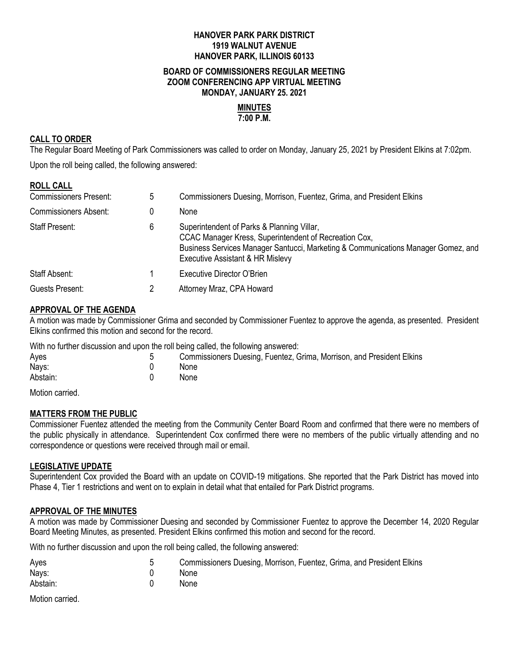# **HANOVER PARK PARK DISTRICT 1919 WALNUT AVENUE HANOVER PARK, ILLINOIS 60133**

#### **BOARD OF COMMISSIONERS REGULAR MEETING ZOOM CONFERENCING APP VIRTUAL MEETING MONDAY, JANUARY 25. 2021**

#### **MINUTES 7:00 P.M.**

# **CALL TO ORDER**

**ROLL CALL**

The Regular Board Meeting of Park Commissioners was called to order on Monday, January 25, 2021 by President Elkins at 7:02pm.

Upon the roll being called, the following answered:

| <b>ROLL CALL</b>              |   |                                                                                                                                                                                                                              |
|-------------------------------|---|------------------------------------------------------------------------------------------------------------------------------------------------------------------------------------------------------------------------------|
| <b>Commissioners Present:</b> | 5 | Commissioners Duesing, Morrison, Fuentez, Grima, and President Elkins                                                                                                                                                        |
| <b>Commissioners Absent:</b>  | 0 | <b>None</b>                                                                                                                                                                                                                  |
| <b>Staff Present:</b>         | 6 | Superintendent of Parks & Planning Villar,<br>CCAC Manager Kress, Superintendent of Recreation Cox,<br>Business Services Manager Santucci, Marketing & Communications Manager Gomez, and<br>Executive Assistant & HR Mislevy |
| Staff Absent:                 |   | Executive Director O'Brien                                                                                                                                                                                                   |
| Guests Present:               |   | Attorney Mraz, CPA Howard                                                                                                                                                                                                    |

# **APPROVAL OF THE AGENDA**

A motion was made by Commissioner Grima and seconded by Commissioner Fuentez to approve the agenda, as presented. President Elkins confirmed this motion and second for the record.

With no further discussion and upon the roll being called, the following answered:

| Commissioners Duesing, Fuentez, Grima, Morrison, and President Elkins |
|-----------------------------------------------------------------------|
| <b>None</b>                                                           |
| <b>None</b>                                                           |
|                                                                       |

Motion carried.

# **MATTERS FROM THE PUBLIC**

Commissioner Fuentez attended the meeting from the Community Center Board Room and confirmed that there were no members of the public physically in attendance. Superintendent Cox confirmed there were no members of the public virtually attending and no correspondence or questions were received through mail or email.

#### **LEGISLATIVE UPDATE**

Superintendent Cox provided the Board with an update on COVID-19 mitigations. She reported that the Park District has moved into Phase 4, Tier 1 restrictions and went on to explain in detail what that entailed for Park District programs.

#### **APPROVAL OF THE MINUTES**

A motion was made by Commissioner Duesing and seconded by Commissioner Fuentez to approve the December 14, 2020 Regular Board Meeting Minutes, as presented. President Elkins confirmed this motion and second for the record.

With no further discussion and upon the roll being called, the following answered:

| Ayes     | Commissioners Duesing, Morrison, Fuentez, Grima, and President Elkins |
|----------|-----------------------------------------------------------------------|
| Nays:    | None                                                                  |
| Abstain: | None                                                                  |

Motion carried.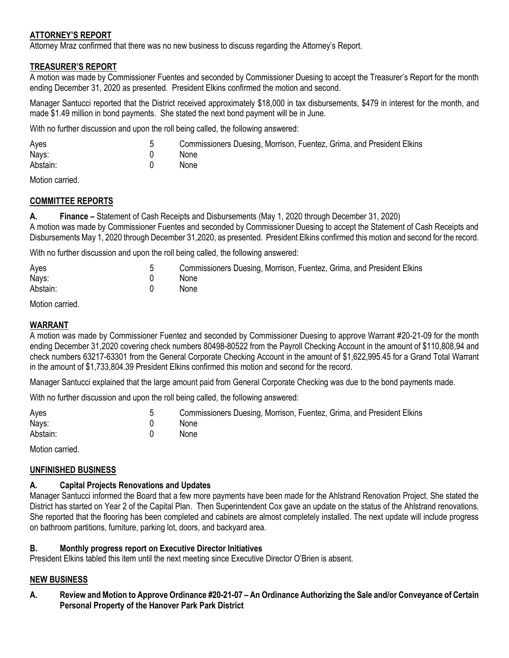# **ATTORNEY'S REPORT**

Attorney Mraz confirmed that there was no new business to discuss regarding the Attorney's Report.

# **TREASURER'S REPORT**

A motion was made by Commissioner Fuentes and seconded by Commissioner Duesing to accept the Treasurer's Report for the month ending December 31, 2020 as presented. President Elkins confirmed the motion and second.

Manager Santucci reported that the District received approximately \$18,000 in tax disbursements, \$479 in interest for the month, and made \$1.49 million in bond payments. She stated the next bond payment will be in June.

With no further discussion and upon the roll being called, the following answered:

| Ayes     | Commissioners Duesing, Morrison, Fuentez, Grima, and President Elkins |
|----------|-----------------------------------------------------------------------|
| Nays:    | <b>None</b>                                                           |
| Abstain: | <b>None</b>                                                           |

Motion carried.

# **COMMITTEE REPORTS**

**A. Finance –** Statement of Cash Receipts and Disbursements (May 1, 2020 through December 31, 2020) A motion was made by Commissioner Fuentes and seconded by Commissioner Duesing to accept the Statement of Cash Receipts and Disbursements May 1, 2020 through December 31,2020, as presented. President Elkins confirmed this motion and second for the record.

With no further discussion and upon the roll being called, the following answered:

| Ayes     | Commissioners Duesing, Morrison, Fuentez, Grima, and President Elkins |
|----------|-----------------------------------------------------------------------|
| Nays:    | None                                                                  |
| Abstain: | None                                                                  |

Motion carried.

### **WARRANT**

A motion was made by Commissioner Fuentez and seconded by Commissioner Duesing to approve Warrant #20-21-09 for the month ending December 31,2020 covering check numbers 80498-80522 from the Payroll Checking Account in the amount of \$110,808,94 and check numbers 63217-63301 from the General Corporate Checking Account in the amount of \$1,622,995.45 for a Grand Total Warrant in the amount of \$1,733,804.39 President Elkins confirmed this motion and second for the record.

Manager Santucci explained that the large amount paid from General Corporate Checking was due to the bond payments made.

With no further discussion and upon the roll being called, the following answered:

| Ayes     | Commissioners Duesing, Morrison, Fuentez, Grima, and President Elkins |
|----------|-----------------------------------------------------------------------|
| Nays:    | None                                                                  |
| Abstain: | <b>None</b>                                                           |

Motion carried.

# **UNFINISHED BUSINESS**

# **A. Capital Projects Renovations and Updates**

Manager Santucci informed the Board that a few more payments have been made for the Ahlstrand Renovation Project. She stated the District has started on Year 2 of the Capital Plan. Then Superintendent Cox gave an update on the status of the Ahlstrand renovations. She reported that the flooring has been completed and cabinets are almost completely installed. The next update will include progress on bathroom partitions, furniture, parking lot, doors, and backyard area.

#### **B. Monthly progress report on Executive Director Initiatives**

President Elkins tabled this item until the next meeting since Executive Director O'Brien is absent.

# **NEW BUSINESS**

**A. Review and Motion to Approve Ordinance #20-21-07 – An Ordinance Authorizing the Sale and/or Conveyance of Certain Personal Property of the Hanover Park Park District**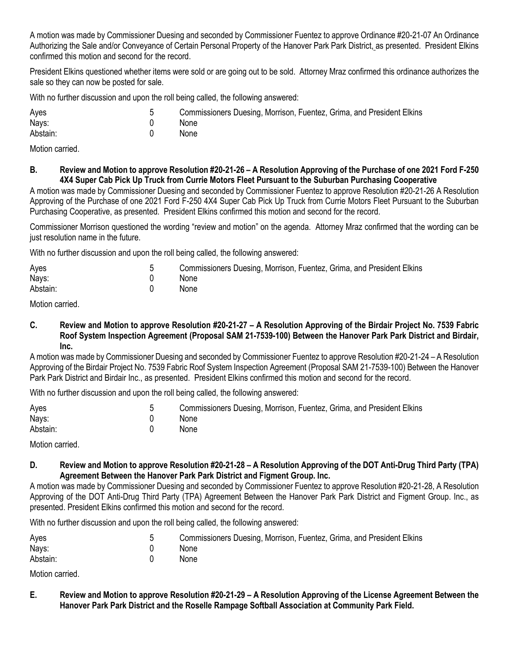A motion was made by Commissioner Duesing and seconded by Commissioner Fuentez to approve Ordinance #20-21-07 An Ordinance Authorizing the Sale and/or Conveyance of Certain Personal Property of the Hanover Park Park District, as presented. President Elkins confirmed this motion and second for the record.

President Elkins questioned whether items were sold or are going out to be sold. Attorney Mraz confirmed this ordinance authorizes the sale so they can now be posted for sale.

With no further discussion and upon the roll being called, the following answered:

| Ayes     | Commissioners Duesing, Morrison, Fuentez, Grima, and President Elkins |
|----------|-----------------------------------------------------------------------|
| Nays:    | <b>None</b>                                                           |
| Abstain: | <b>None</b>                                                           |

Motion carried.

# **B. Review and Motion to approve Resolution #20-21-26 – A Resolution Approving of the Purchase of one 2021 Ford F-250 4X4 Super Cab Pick Up Truck from Currie Motors Fleet Pursuant to the Suburban Purchasing Cooperative**

A motion was made by Commissioner Duesing and seconded by Commissioner Fuentez to approve Resolution #20-21-26 A Resolution Approving of the Purchase of one 2021 Ford F-250 4X4 Super Cab Pick Up Truck from Currie Motors Fleet Pursuant to the Suburban Purchasing Cooperative, as presented. President Elkins confirmed this motion and second for the record.

Commissioner Morrison questioned the wording "review and motion" on the agenda. Attorney Mraz confirmed that the wording can be just resolution name in the future.

With no further discussion and upon the roll being called, the following answered:

| Ayes     | Commissioners Duesing, Morrison, Fuentez, Grima, and President Elkins |
|----------|-----------------------------------------------------------------------|
| Nays:    | None                                                                  |
| Abstain: | None                                                                  |

Motion carried.

# **C. Review and Motion to approve Resolution #20-21-27 – A Resolution Approving of the Birdair Project No. 7539 Fabric Roof System Inspection Agreement (Proposal SAM 21-7539-100) Between the Hanover Park Park District and Birdair, Inc.**

A motion was made by Commissioner Duesing and seconded by Commissioner Fuentez to approve Resolution #20-21-24 – A Resolution Approving of the Birdair Project No. 7539 Fabric Roof System Inspection Agreement (Proposal SAM 21-7539-100) Between the Hanover Park Park District and Birdair Inc., as presented. President Elkins confirmed this motion and second for the record.

With no further discussion and upon the roll being called, the following answered:

| Ayes     | Commissioners Duesing, Morrison, Fuentez, Grima, and President Elkins |
|----------|-----------------------------------------------------------------------|
| Nays:    | <b>None</b>                                                           |
| Abstain: | <b>None</b>                                                           |

Motion carried.

# **D. Review and Motion to approve Resolution #20-21-28 – A Resolution Approving of the DOT Anti-Drug Third Party (TPA) Agreement Between the Hanover Park Park District and Figment Group. Inc.**

A motion was made by Commissioner Duesing and seconded by Commissioner Fuentez to approve Resolution #20-21-28, A Resolution Approving of the DOT Anti-Drug Third Party (TPA) Agreement Between the Hanover Park Park District and Figment Group. Inc., as presented. President Elkins confirmed this motion and second for the record.

With no further discussion and upon the roll being called, the following answered:

| Ayes     | Commissioners Duesing, Morrison, Fuentez, Grima, and President Elkins |
|----------|-----------------------------------------------------------------------|
| Nays:    | None                                                                  |
| Abstain: | <b>None</b>                                                           |

Motion carried.

# **E. Review and Motion to approve Resolution #20-21-29 – A Resolution Approving of the License Agreement Between the Hanover Park Park District and the Roselle Rampage Softball Association at Community Park Field.**